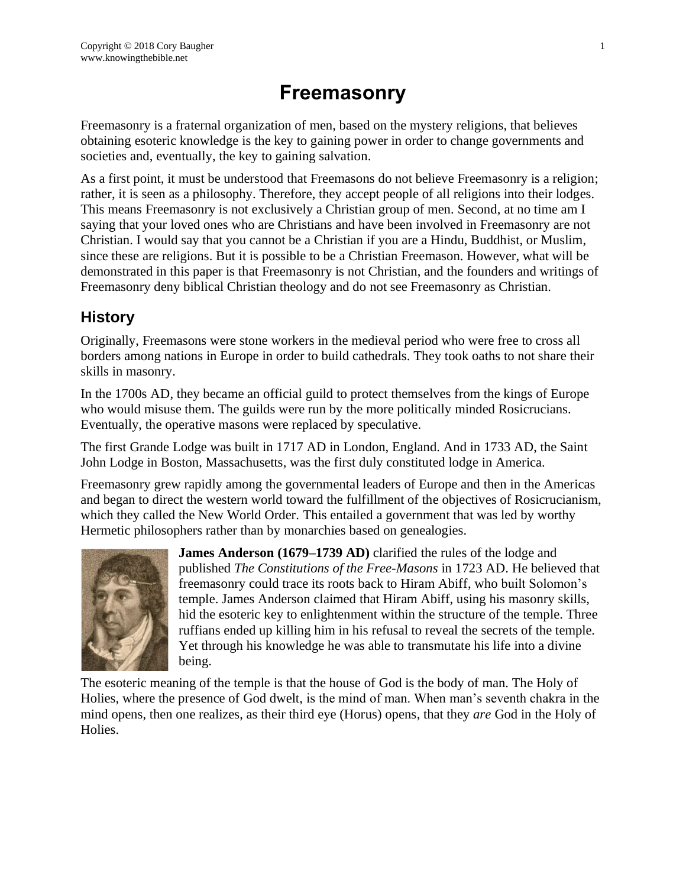# **Freemasonry**

Freemasonry is a fraternal organization of men, based on the mystery religions, that believes obtaining esoteric knowledge is the key to gaining power in order to change governments and societies and, eventually, the key to gaining salvation.

As a first point, it must be understood that Freemasons do not believe Freemasonry is a religion; rather, it is seen as a philosophy. Therefore, they accept people of all religions into their lodges. This means Freemasonry is not exclusively a Christian group of men. Second, at no time am I saying that your loved ones who are Christians and have been involved in Freemasonry are not Christian. I would say that you cannot be a Christian if you are a Hindu, Buddhist, or Muslim, since these are religions. But it is possible to be a Christian Freemason. However, what will be demonstrated in this paper is that Freemasonry is not Christian, and the founders and writings of Freemasonry deny biblical Christian theology and do not see Freemasonry as Christian.

# **History**

Originally, Freemasons were stone workers in the medieval period who were free to cross all borders among nations in Europe in order to build cathedrals. They took oaths to not share their skills in masonry.

In the 1700s AD, they became an official guild to protect themselves from the kings of Europe who would misuse them. The guilds were run by the more politically minded Rosicrucians. Eventually, the operative masons were replaced by speculative.

The first Grande Lodge was built in 1717 AD in London, England. And in 1733 AD, the Saint John Lodge in Boston, Massachusetts, was the first duly constituted lodge in America.

Freemasonry grew rapidly among the governmental leaders of Europe and then in the Americas and began to direct the western world toward the fulfillment of the objectives of Rosicrucianism, which they called the New World Order. This entailed a government that was led by worthy Hermetic philosophers rather than by monarchies based on genealogies.



**James Anderson (1679–1739 AD)** clarified the rules of the lodge and published *The Constitutions of the Free-Masons* in 1723 AD. He believed that freemasonry could trace its roots back to Hiram Abiff, who built Solomon's temple. James Anderson claimed that Hiram Abiff, using his masonry skills, hid the esoteric key to enlightenment within the structure of the temple. Three ruffians ended up killing him in his refusal to reveal the secrets of the temple. Yet through his knowledge he was able to transmutate his life into a divine being.

The esoteric meaning of the temple is that the house of God is the body of man. The Holy of Holies, where the presence of God dwelt, is the mind of man. When man's seventh chakra in the mind opens, then one realizes, as their third eye (Horus) opens, that they *are* God in the Holy of Holies.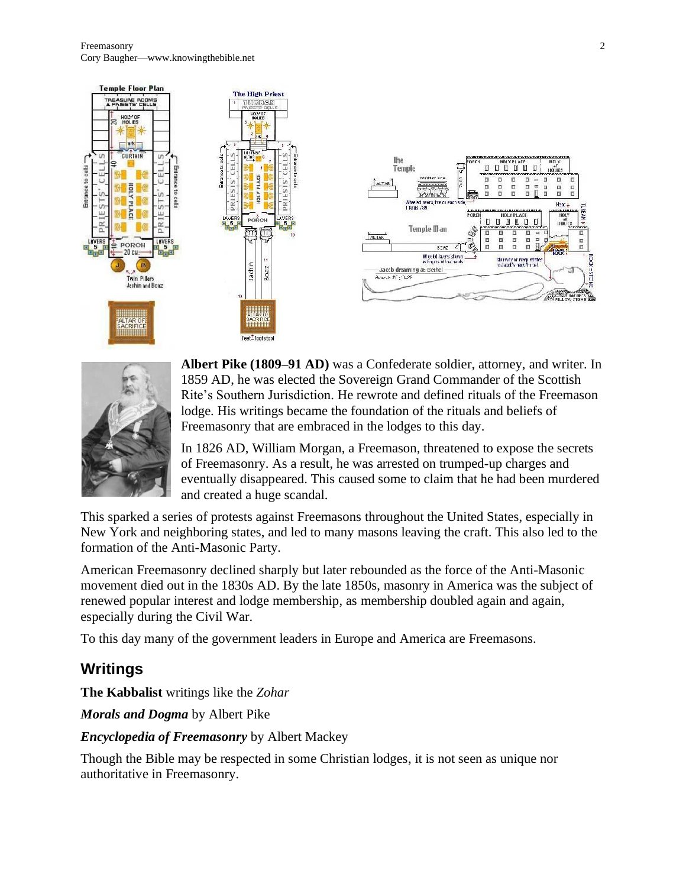





**Albert Pike (1809–91 AD)** was a Confederate soldier, attorney, and writer. In 1859 AD, he was elected the Sovereign Grand Commander of the Scottish Rite's Southern Jurisdiction. He rewrote and defined rituals of the Freemason lodge. His writings became the foundation of the rituals and beliefs of Freemasonry that are embraced in the lodges to this day.

In 1826 AD, William Morgan, a Freemason, threatened to expose the secrets of Freemasonry. As a result, he was arrested on trumped-up charges and eventually disappeared. This caused some to claim that he had been murdered and created a huge scandal.

This sparked a series of protests against Freemasons throughout the United States, especially in New York and neighboring states, and led to many masons leaving the craft. This also led to the formation of the Anti-Masonic Party.

American Freemasonry declined sharply but later rebounded as the force of the Anti-Masonic movement died out in the 1830s AD. By the late 1850s, masonry in America was the subject of renewed popular interest and lodge membership, as membership doubled again and again, especially during the Civil War.

To this day many of the government leaders in Europe and America are Freemasons.

# **Writings**

**The Kabbalist** writings like the *Zohar*

*Morals and Dogma* by Albert Pike

*Encyclopedia of Freemasonry* by Albert Mackey

Though the Bible may be respected in some Christian lodges, it is not seen as unique nor authoritative in Freemasonry.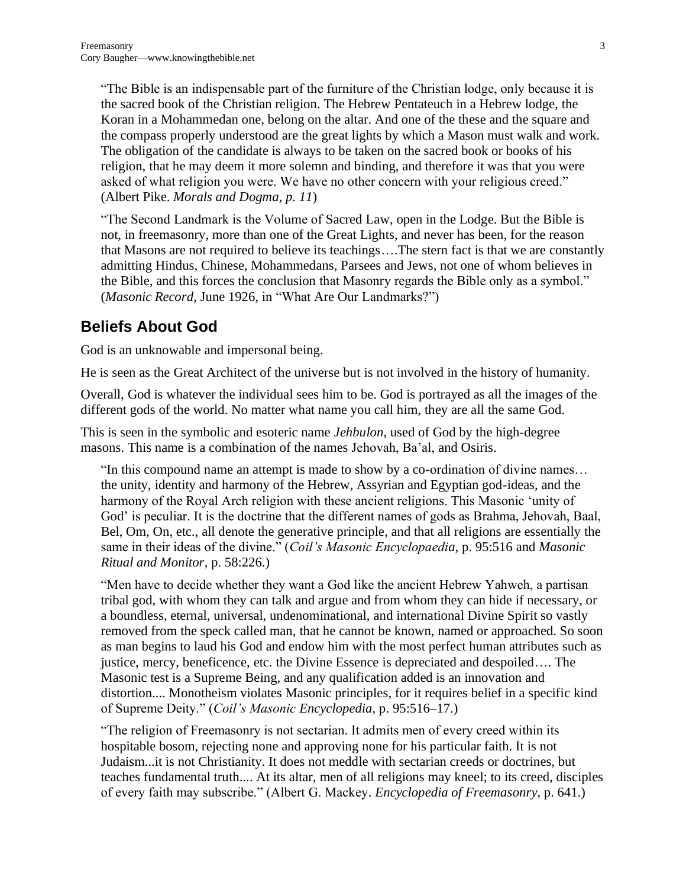"The Bible is an indispensable part of the furniture of the Christian lodge, only because it is the sacred book of the Christian religion. The Hebrew Pentateuch in a Hebrew lodge, the Koran in a Mohammedan one, belong on the altar. And one of the these and the square and the compass properly understood are the great lights by which a Mason must walk and work. The obligation of the candidate is always to be taken on the sacred book or books of his religion, that he may deem it more solemn and binding, and therefore it was that you were asked of what religion you were. We have no other concern with your religious creed." (Albert Pike. *Morals and Dogma, p. 11*)

"The Second Landmark is the Volume of Sacred Law, open in the Lodge. But the Bible is not, in freemasonry, more than one of the Great Lights, and never has been, for the reason that Masons are not required to believe its teachings….The stern fact is that we are constantly admitting Hindus, Chinese, Mohammedans, Parsees and Jews, not one of whom believes in the Bible, and this forces the conclusion that Masonry regards the Bible only as a symbol." (*Masonic Record*, June 1926, in "What Are Our Landmarks?")

## **Beliefs About God**

God is an unknowable and impersonal being.

He is seen as the Great Architect of the universe but is not involved in the history of humanity.

Overall, God is whatever the individual sees him to be. God is portrayed as all the images of the different gods of the world. No matter what name you call him, they are all the same God.

This is seen in the symbolic and esoteric name *Jehbulon,* used of God by the high-degree masons. This name is a combination of the names Jehovah, Ba'al, and Osiris.

"In this compound name an attempt is made to show by a co-ordination of divine names… the unity, identity and harmony of the Hebrew, Assyrian and Egyptian god-ideas, and the harmony of the Royal Arch religion with these ancient religions. This Masonic 'unity of God' is peculiar. It is the doctrine that the different names of gods as Brahma, Jehovah, Baal, Bel, Om, On, etc., all denote the generative principle, and that all religions are essentially the same in their ideas of the divine." (*Coil's Masonic Encyclopaedia*, p. 95:516 and *Masonic Ritual and Monitor*, p. 58:226.)

"Men have to decide whether they want a God like the ancient Hebrew Yahweh, a partisan tribal god, with whom they can talk and argue and from whom they can hide if necessary, or a boundless, eternal, universal, undenominational, and international Divine Spirit so vastly removed from the speck called man, that he cannot be known, named or approached. So soon as man begins to laud his God and endow him with the most perfect human attributes such as justice, mercy, beneficence, etc. the Divine Essence is depreciated and despoiled…. The Masonic test is a Supreme Being, and any qualification added is an innovation and distortion.... Monotheism violates Masonic principles, for it requires belief in a specific kind of Supreme Deity." (*Coil's Masonic Encyclopedia*, p. 95:516–17.)

"The religion of Freemasonry is not sectarian. It admits men of every creed within its hospitable bosom, rejecting none and approving none for his particular faith. It is not Judaism...it is not Christianity. It does not meddle with sectarian creeds or doctrines, but teaches fundamental truth.... At its altar, men of all religions may kneel; to its creed, disciples of every faith may subscribe." (Albert G. Mackey. *Encyclopedia of Freemasonry*, p. 641.)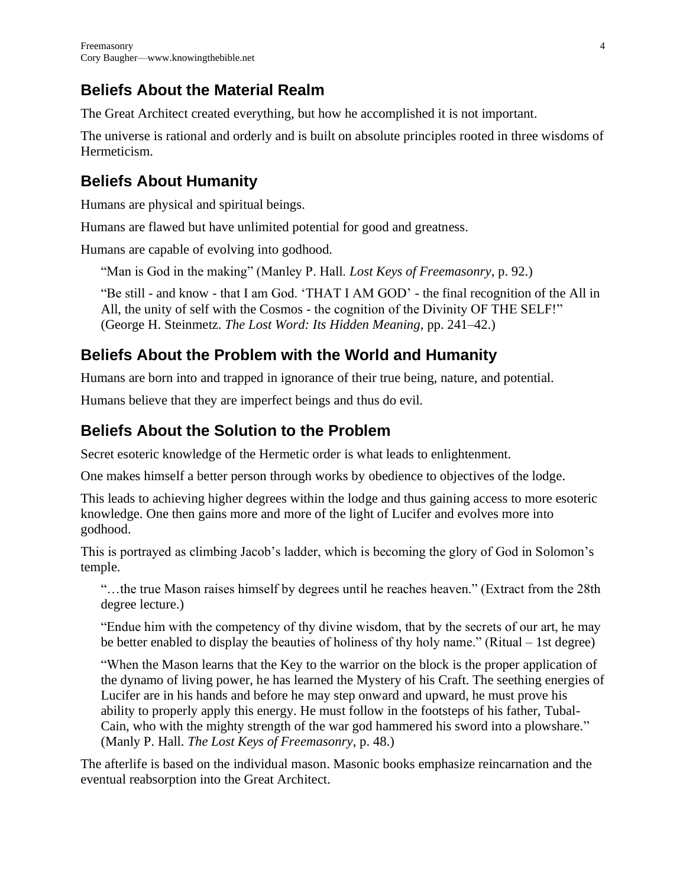# **Beliefs About the Material Realm**

The Great Architect created everything, but how he accomplished it is not important.

The universe is rational and orderly and is built on absolute principles rooted in three wisdoms of Hermeticism.

# **Beliefs About Humanity**

Humans are physical and spiritual beings.

Humans are flawed but have unlimited potential for good and greatness.

Humans are capable of evolving into godhood.

"Man is God in the making" (Manley P. Hall. *Lost Keys of Freemasonry*, p. 92.)

"Be still - and know - that I am God. 'THAT I AM GOD' - the final recognition of the All in All, the unity of self with the Cosmos - the cognition of the Divinity OF THE SELF!" (George H. Steinmetz. *The Lost Word: Its Hidden Meaning*, pp. 241–42.)

# **Beliefs About the Problem with the World and Humanity**

Humans are born into and trapped in ignorance of their true being, nature, and potential.

Humans believe that they are imperfect beings and thus do evil.

# **Beliefs About the Solution to the Problem**

Secret esoteric knowledge of the Hermetic order is what leads to enlightenment.

One makes himself a better person through works by obedience to objectives of the lodge.

This leads to achieving higher degrees within the lodge and thus gaining access to more esoteric knowledge. One then gains more and more of the light of Lucifer and evolves more into godhood.

This is portrayed as climbing Jacob's ladder, which is becoming the glory of God in Solomon's temple.

"…the true Mason raises himself by degrees until he reaches heaven." (Extract from the 28th degree lecture.)

"Endue him with the competency of thy divine wisdom, that by the secrets of our art, he may be better enabled to display the beauties of holiness of thy holy name." (Ritual – 1st degree)

"When the Mason learns that the Key to the warrior on the block is the proper application of the dynamo of living power, he has learned the Mystery of his Craft. The seething energies of Lucifer are in his hands and before he may step onward and upward, he must prove his ability to properly apply this energy. He must follow in the footsteps of his father, Tubal-Cain, who with the mighty strength of the war god hammered his sword into a plowshare." (Manly P. Hall. *The Lost Keys of Freemasonry*, p. 48.)

The afterlife is based on the individual mason. Masonic books emphasize reincarnation and the eventual reabsorption into the Great Architect.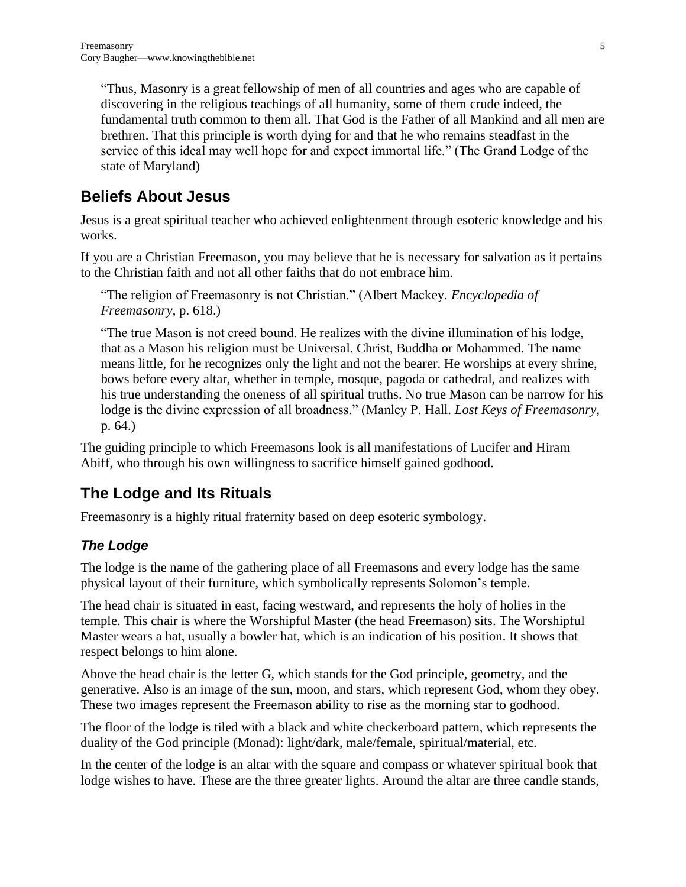"Thus, Masonry is a great fellowship of men of all countries and ages who are capable of discovering in the religious teachings of all humanity, some of them crude indeed, the fundamental truth common to them all. That God is the Father of all Mankind and all men are brethren. That this principle is worth dying for and that he who remains steadfast in the service of this ideal may well hope for and expect immortal life." (The Grand Lodge of the state of Maryland)

# **Beliefs About Jesus**

Jesus is a great spiritual teacher who achieved enlightenment through esoteric knowledge and his works.

If you are a Christian Freemason, you may believe that he is necessary for salvation as it pertains to the Christian faith and not all other faiths that do not embrace him.

"The religion of Freemasonry is not Christian." (Albert Mackey. *Encyclopedia of Freemasonry*, p. 618.)

"The true Mason is not creed bound. He realizes with the divine illumination of his lodge, that as a Mason his religion must be Universal. Christ, Buddha or Mohammed. The name means little, for he recognizes only the light and not the bearer. He worships at every shrine, bows before every altar, whether in temple, mosque, pagoda or cathedral, and realizes with his true understanding the oneness of all spiritual truths. No true Mason can be narrow for his lodge is the divine expression of all broadness." (Manley P. Hall. *Lost Keys of Freemasonry*, p. 64.)

The guiding principle to which Freemasons look is all manifestations of Lucifer and Hiram Abiff, who through his own willingness to sacrifice himself gained godhood.

# **The Lodge and Its Rituals**

Freemasonry is a highly ritual fraternity based on deep esoteric symbology.

## *The Lodge*

The lodge is the name of the gathering place of all Freemasons and every lodge has the same physical layout of their furniture, which symbolically represents Solomon's temple.

The head chair is situated in east, facing westward, and represents the holy of holies in the temple. This chair is where the Worshipful Master (the head Freemason) sits. The Worshipful Master wears a hat, usually a bowler hat, which is an indication of his position. It shows that respect belongs to him alone.

Above the head chair is the letter G, which stands for the God principle, geometry, and the generative. Also is an image of the sun, moon, and stars, which represent God, whom they obey. These two images represent the Freemason ability to rise as the morning star to godhood.

The floor of the lodge is tiled with a black and white checkerboard pattern, which represents the duality of the God principle (Monad): light/dark, male/female, spiritual/material, etc.

In the center of the lodge is an altar with the square and compass or whatever spiritual book that lodge wishes to have. These are the three greater lights. Around the altar are three candle stands,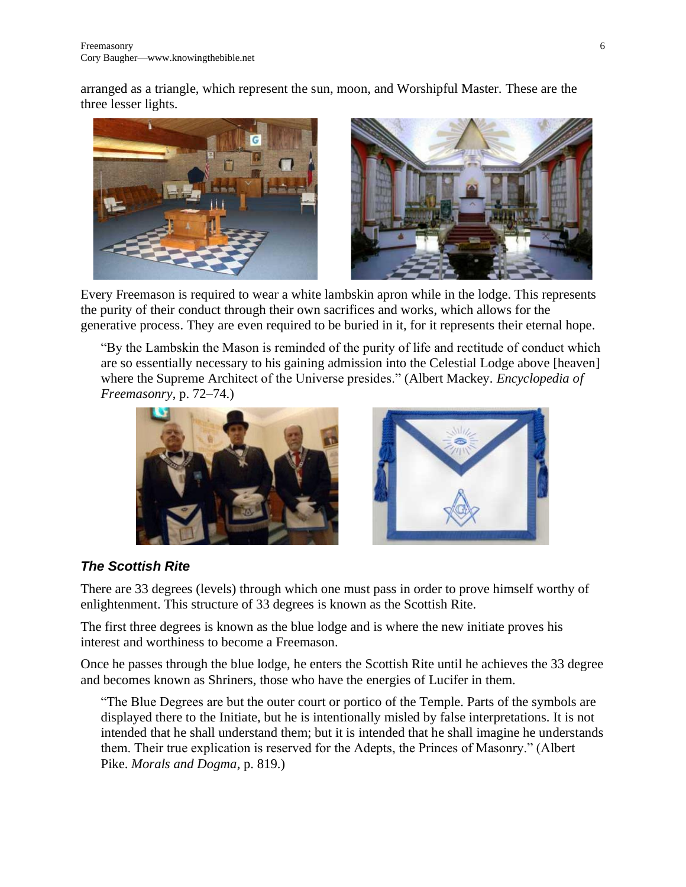arranged as a triangle, which represent the sun, moon, and Worshipful Master. These are the three lesser lights.



Every Freemason is required to wear a white lambskin apron while in the lodge. This represents the purity of their conduct through their own sacrifices and works, which allows for the generative process. They are even required to be buried in it, for it represents their eternal hope.

"By the Lambskin the Mason is reminded of the purity of life and rectitude of conduct which are so essentially necessary to his gaining admission into the Celestial Lodge above [heaven] where the Supreme Architect of the Universe presides." (Albert Mackey. *Encyclopedia of Freemasonry*, p. 72–74.)





## *The Scottish Rite*

There are 33 degrees (levels) through which one must pass in order to prove himself worthy of enlightenment. This structure of 33 degrees is known as the Scottish Rite.

The first three degrees is known as the blue lodge and is where the new initiate proves his interest and worthiness to become a Freemason.

Once he passes through the blue lodge, he enters the Scottish Rite until he achieves the 33 degree and becomes known as Shriners, those who have the energies of Lucifer in them.

"The Blue Degrees are but the outer court or portico of the Temple. Parts of the symbols are displayed there to the Initiate, but he is intentionally misled by false interpretations. It is not intended that he shall understand them; but it is intended that he shall imagine he understands them. Their true explication is reserved for the Adepts, the Princes of Masonry." (Albert Pike. *Morals and Dogma*, p. 819.)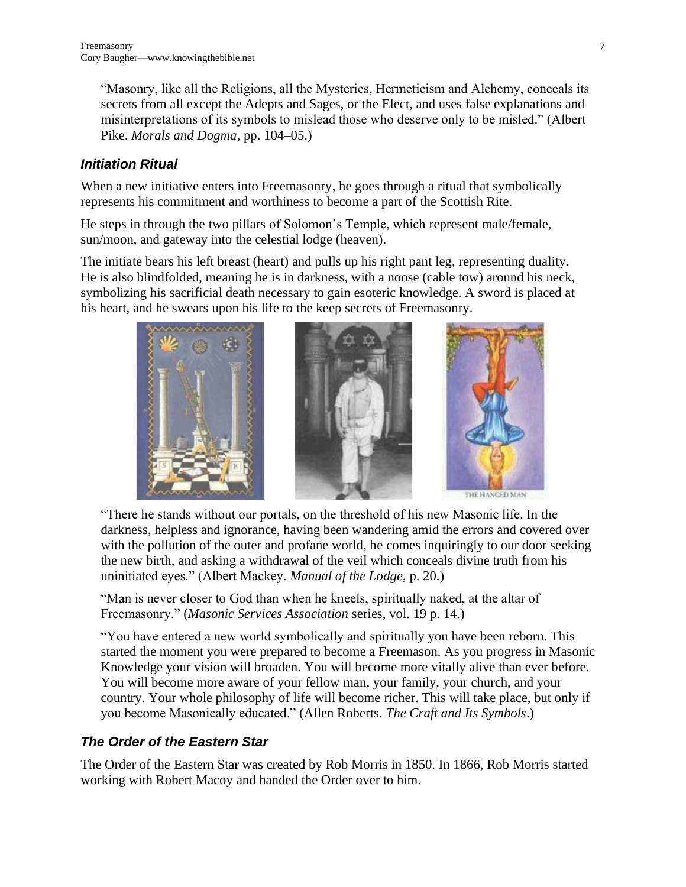"Masonry, like all the Religions, all the Mysteries, Hermeticism and Alchemy, conceals its secrets from all except the Adepts and Sages, or the Elect, and uses false explanations and misinterpretations of its symbols to mislead those who deserve only to be misled." (Albert Pike. *Morals and Dogma*, pp. 104–05.)

## *Initiation Ritual*

When a new initiative enters into Freemasonry, he goes through a ritual that symbolically represents his commitment and worthiness to become a part of the Scottish Rite.

He steps in through the two pillars of Solomon's Temple, which represent male/female, sun/moon, and gateway into the celestial lodge (heaven).

The initiate bears his left breast (heart) and pulls up his right pant leg, representing duality. He is also blindfolded, meaning he is in darkness, with a noose (cable tow) around his neck, symbolizing his sacrificial death necessary to gain esoteric knowledge. A sword is placed at his heart, and he swears upon his life to the keep secrets of Freemasonry.



"There he stands without our portals, on the threshold of his new Masonic life. In the darkness, helpless and ignorance, having been wandering amid the errors and covered over with the pollution of the outer and profane world, he comes inquiringly to our door seeking the new birth, and asking a withdrawal of the veil which conceals divine truth from his uninitiated eyes." (Albert Mackey. *Manual of the Lodge*, p. 20.)

"Man is never closer to God than when he kneels, spiritually naked, at the altar of Freemasonry." (*Masonic Services Association* series, vol. 19 p. 14.)

"You have entered a new world symbolically and spiritually you have been reborn. This started the moment you were prepared to become a Freemason. As you progress in Masonic Knowledge your vision will broaden. You will become more vitally alive than ever before. You will become more aware of your fellow man, your family, your church, and your country. Your whole philosophy of life will become richer. This will take place, but only if you become Masonically educated." (Allen Roberts. *The Craft and Its Symbols*.)

## *The Order of the Eastern Star*

The Order of the Eastern Star was created by Rob Morris in 1850. In 1866, Rob Morris started working with Robert Macoy and handed the Order over to him.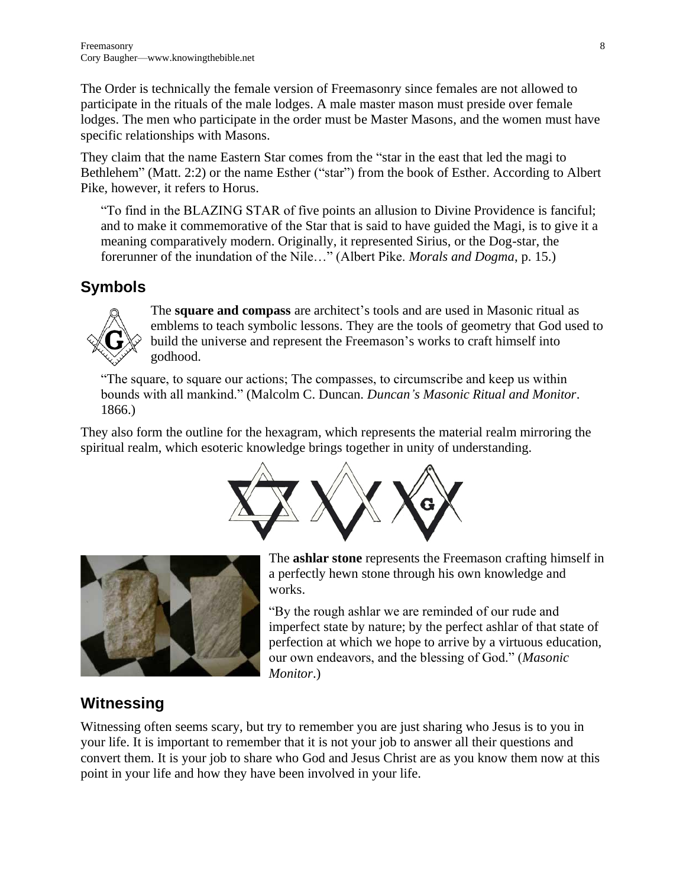The Order is technically the female version of Freemasonry since females are not allowed to participate in the rituals of the male lodges. A male master mason must preside over female lodges. The men who participate in the order must be Master Masons, and the women must have specific relationships with Masons.

They claim that the name Eastern Star comes from the "star in the east that led the magi to Bethlehem" (Matt. 2:2) or the name Esther ("star") from the book of Esther. According to Albert Pike, however, it refers to Horus.

"To find in the BLAZING STAR of five points an allusion to Divine Providence is fanciful; and to make it commemorative of the Star that is said to have guided the Magi, is to give it a meaning comparatively modern. Originally, it represented Sirius, or the Dog-star, the forerunner of the inundation of the Nile…" (Albert Pike. *Morals and Dogma*, p. 15.)

## **Symbols**



The **square and compass** are architect's tools and are used in Masonic ritual as emblems to teach symbolic lessons. They are the tools of geometry that God used to build the universe and represent the Freemason's works to craft himself into godhood.

"The square, to square our actions; The compasses, to circumscribe and keep us within bounds with all mankind." (Malcolm C. Duncan. *Duncan's Masonic Ritual and Monitor*. 1866.)

They also form the outline for the hexagram, which represents the material realm mirroring the spiritual realm, which esoteric knowledge brings together in unity of understanding.





The **ashlar stone** represents the Freemason crafting himself in a perfectly hewn stone through his own knowledge and works.

"By the rough ashlar we are reminded of our rude and imperfect state by nature; by the perfect ashlar of that state of perfection at which we hope to arrive by a virtuous education, our own endeavors, and the blessing of God." (*Masonic Monitor*.)

# **Witnessing**

Witnessing often seems scary, but try to remember you are just sharing who Jesus is to you in your life. It is important to remember that it is not your job to answer all their questions and convert them. It is your job to share who God and Jesus Christ are as you know them now at this point in your life and how they have been involved in your life.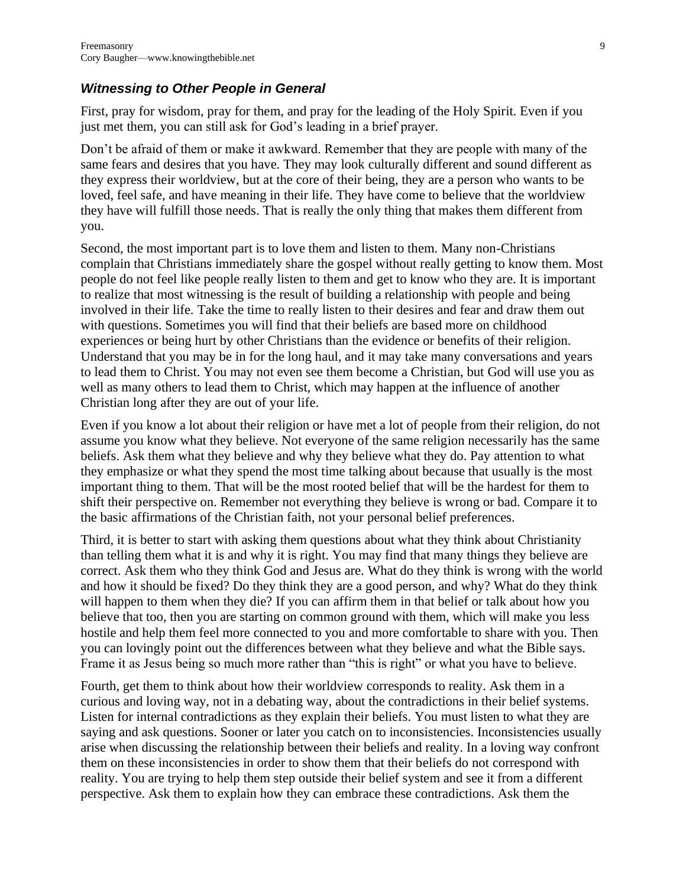#### *Witnessing to Other People in General*

First, pray for wisdom, pray for them, and pray for the leading of the Holy Spirit. Even if you just met them, you can still ask for God's leading in a brief prayer.

Don't be afraid of them or make it awkward. Remember that they are people with many of the same fears and desires that you have. They may look culturally different and sound different as they express their worldview, but at the core of their being, they are a person who wants to be loved, feel safe, and have meaning in their life. They have come to believe that the worldview they have will fulfill those needs. That is really the only thing that makes them different from you.

Second, the most important part is to love them and listen to them. Many non-Christians complain that Christians immediately share the gospel without really getting to know them. Most people do not feel like people really listen to them and get to know who they are. It is important to realize that most witnessing is the result of building a relationship with people and being involved in their life. Take the time to really listen to their desires and fear and draw them out with questions. Sometimes you will find that their beliefs are based more on childhood experiences or being hurt by other Christians than the evidence or benefits of their religion. Understand that you may be in for the long haul, and it may take many conversations and years to lead them to Christ. You may not even see them become a Christian, but God will use you as well as many others to lead them to Christ, which may happen at the influence of another Christian long after they are out of your life.

Even if you know a lot about their religion or have met a lot of people from their religion, do not assume you know what they believe. Not everyone of the same religion necessarily has the same beliefs. Ask them what they believe and why they believe what they do. Pay attention to what they emphasize or what they spend the most time talking about because that usually is the most important thing to them. That will be the most rooted belief that will be the hardest for them to shift their perspective on. Remember not everything they believe is wrong or bad. Compare it to the basic affirmations of the Christian faith, not your personal belief preferences.

Third, it is better to start with asking them questions about what they think about Christianity than telling them what it is and why it is right. You may find that many things they believe are correct. Ask them who they think God and Jesus are. What do they think is wrong with the world and how it should be fixed? Do they think they are a good person, and why? What do they think will happen to them when they die? If you can affirm them in that belief or talk about how you believe that too, then you are starting on common ground with them, which will make you less hostile and help them feel more connected to you and more comfortable to share with you. Then you can lovingly point out the differences between what they believe and what the Bible says. Frame it as Jesus being so much more rather than "this is right" or what you have to believe.

Fourth, get them to think about how their worldview corresponds to reality. Ask them in a curious and loving way, not in a debating way, about the contradictions in their belief systems. Listen for internal contradictions as they explain their beliefs. You must listen to what they are saying and ask questions. Sooner or later you catch on to inconsistencies. Inconsistencies usually arise when discussing the relationship between their beliefs and reality. In a loving way confront them on these inconsistencies in order to show them that their beliefs do not correspond with reality. You are trying to help them step outside their belief system and see it from a different perspective. Ask them to explain how they can embrace these contradictions. Ask them the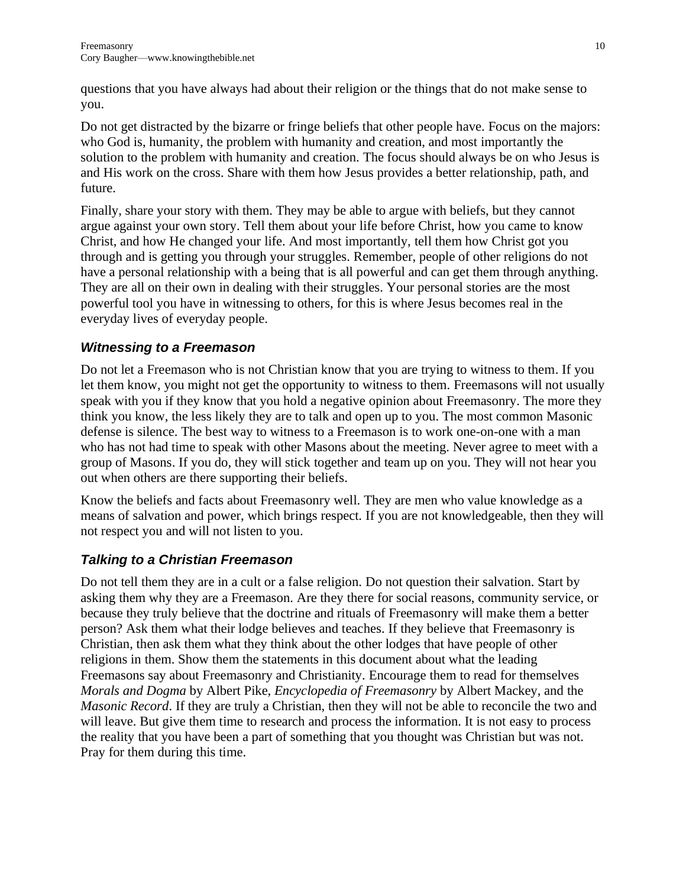questions that you have always had about their religion or the things that do not make sense to you.

Do not get distracted by the bizarre or fringe beliefs that other people have. Focus on the majors: who God is, humanity, the problem with humanity and creation, and most importantly the solution to the problem with humanity and creation. The focus should always be on who Jesus is and His work on the cross. Share with them how Jesus provides a better relationship, path, and future.

Finally, share your story with them. They may be able to argue with beliefs, but they cannot argue against your own story. Tell them about your life before Christ, how you came to know Christ, and how He changed your life. And most importantly, tell them how Christ got you through and is getting you through your struggles. Remember, people of other religions do not have a personal relationship with a being that is all powerful and can get them through anything. They are all on their own in dealing with their struggles. Your personal stories are the most powerful tool you have in witnessing to others, for this is where Jesus becomes real in the everyday lives of everyday people.

## *Witnessing to a Freemason*

Do not let a Freemason who is not Christian know that you are trying to witness to them. If you let them know, you might not get the opportunity to witness to them. Freemasons will not usually speak with you if they know that you hold a negative opinion about Freemasonry. The more they think you know, the less likely they are to talk and open up to you. The most common Masonic defense is silence. The best way to witness to a Freemason is to work one-on-one with a man who has not had time to speak with other Masons about the meeting. Never agree to meet with a group of Masons. If you do, they will stick together and team up on you. They will not hear you out when others are there supporting their beliefs.

Know the beliefs and facts about Freemasonry well. They are men who value knowledge as a means of salvation and power, which brings respect. If you are not knowledgeable, then they will not respect you and will not listen to you.

## *Talking to a Christian Freemason*

Do not tell them they are in a cult or a false religion. Do not question their salvation. Start by asking them why they are a Freemason. Are they there for social reasons, community service, or because they truly believe that the doctrine and rituals of Freemasonry will make them a better person? Ask them what their lodge believes and teaches. If they believe that Freemasonry is Christian, then ask them what they think about the other lodges that have people of other religions in them. Show them the statements in this document about what the leading Freemasons say about Freemasonry and Christianity. Encourage them to read for themselves *Morals and Dogma* by Albert Pike, *Encyclopedia of Freemasonry* by Albert Mackey, and the *Masonic Record*. If they are truly a Christian, then they will not be able to reconcile the two and will leave. But give them time to research and process the information. It is not easy to process the reality that you have been a part of something that you thought was Christian but was not. Pray for them during this time.